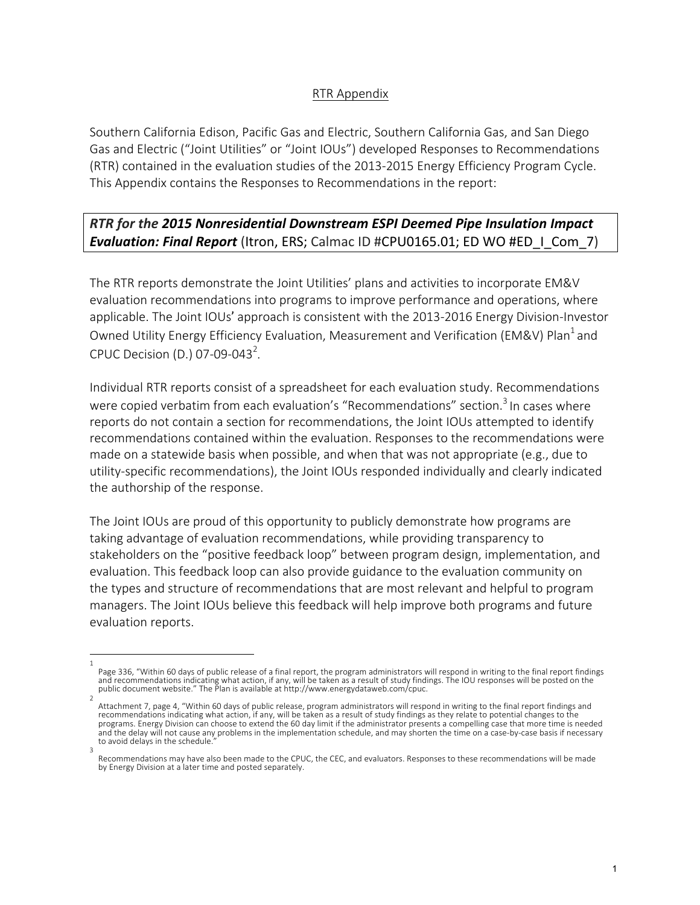## RTR Appendix

Southern California Edison, Pacific Gas and Electric, Southern California Gas, and San Diego Gas and Electric ("Joint Utilities" or "Joint IOUs") developed Responses to Recommendations (RTR) contained in the evaluation studies of the 2013-2015 Energy Efficiency Program Cycle. This Appendix contains the Responses to Recommendations in the report:

## **RTR** for the 2015 Nonresidential Downstream ESPI Deemed Pipe Insulation Impact **Evaluation: Final Report** (Itron, ERS; Calmac ID #CPU0165.01; ED WO #ED\_I\_Com\_7)

The RTR reports demonstrate the Joint Utilities' plans and activities to incorporate EM&V evaluation recommendations into programs to improve performance and operations, where applicable. The Joint IOUs' approach is consistent with the 2013-2016 Energy Division-Investor Owned Utility Energy Efficiency Evaluation, Measurement and Verification (EM&V) Plan<sup>1</sup> and CPUC Decision (D.) 07-09-043<sup>2</sup>.

Individual RTR reports consist of a spreadsheet for each evaluation study. Recommendations were copied verbatim from each evaluation's "Recommendations" section.<sup>3</sup> In cases where reports do not contain a section for recommendations, the Joint IOUs attempted to identify recommendations contained within the evaluation. Responses to the recommendations were made on a statewide basis when possible, and when that was not appropriate  $(e.g.,$  due to utility-specific recommendations), the Joint IOUs responded individually and clearly indicated the authorship of the response.

The Joint IOUs are proud of this opportunity to publicly demonstrate how programs are taking advantage of evaluation recommendations, while providing transparency to stakeholders on the "positive feedback loop" between program design, implementation, and evaluation. This feedback loop can also provide guidance to the evaluation community on the types and structure of recommendations that are most relevant and helpful to program managers. The Joint IOUs believe this feedback will help improve both programs and future evaluation reports.

<sup>1</sup>  Page 336, "Within 60 days of public release of a final report, the program administrators will respond in writing to the final report findings and recommendations indicating what action, if any, will be taken as a result of study findings. The IOU responses will be posted on the public document website." The Plan is available at http://www.energydataweb.com/cpuc.

<sup>2</sup>  Attachment 7, page 4, "Within 60 days of public release, program administrators will respond in writing to the final report findings and recommendations indicating what action, if any, will be taken as a result of study findings as they relate to potential changes to the programs. Energy Division can choose to extend the 60 day limit if the administrator presents a compelling case that more time is needed and the delay will not cause any problems in the implementation schedule, and may shorten the time on a case-by-case basis if necessary to avoid delays in the schedule. 3 

Recommendations may have also been made to the CPUC, the CEC, and evaluators. Responses to these recommendations will be made by Energy Division at a later time and posted separately.